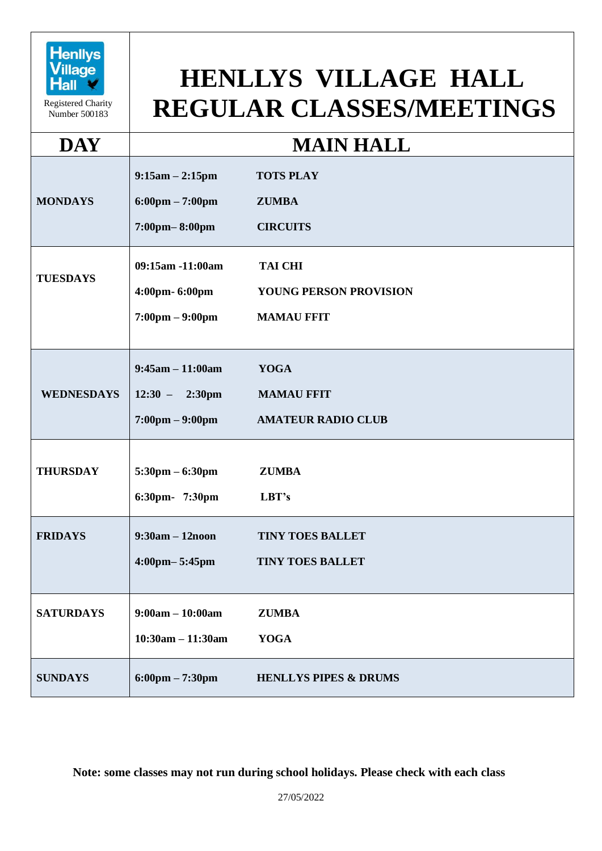

Registered Charity Number 500183

## **HENLLYS VILLAGE HALL REGULAR CLASSES/MEETINGS**

## **DAY MAIN HALL**

| <b>MONDAYS</b>    | $9:15am - 2:15pm$<br>$6:00 \text{pm} - 7:00 \text{pm}$<br>7:00pm-8:00pm             | <b>TOTS PLAY</b><br><b>ZUMBA</b><br><b>CIRCUITS</b>           |
|-------------------|-------------------------------------------------------------------------------------|---------------------------------------------------------------|
| <b>TUESDAYS</b>   | 09:15am -11:00am<br>4:00pm-6:00pm<br>$7:00 \text{pm} - 9:00 \text{pm}$              | <b>TAI CHI</b><br>YOUNG PERSON PROVISION<br><b>MAMAU FFIT</b> |
| <b>WEDNESDAYS</b> | $9:45am - 11:00am$<br>$12:30 - 2:30 \text{pm}$<br>$7:00 \text{pm} - 9:00 \text{pm}$ | <b>YOGA</b><br><b>MAMAU FFIT</b><br><b>AMATEUR RADIO CLUB</b> |
| <b>THURSDAY</b>   | $5:30 \text{pm} - 6:30 \text{pm}$<br>6:30pm- 7:30pm                                 | <b>ZUMBA</b><br>LBT's                                         |
| <b>FRIDAYS</b>    | $9:30am - 12noon$<br>4:00pm-5:45pm                                                  | <b>TINY TOES BALLET</b><br><b>TINY TOES BALLET</b>            |
| <b>SATURDAYS</b>  | $9:00am - 10:00am$<br>$10:30am - 11:30am$                                           | <b>ZUMBA</b><br><b>YOGA</b>                                   |
| <b>SUNDAYS</b>    | $6:00 \text{pm} - 7:30 \text{pm}$                                                   | <b>HENLLYS PIPES &amp; DRUMS</b>                              |

**Note: some classes may not run during school holidays. Please check with each class**